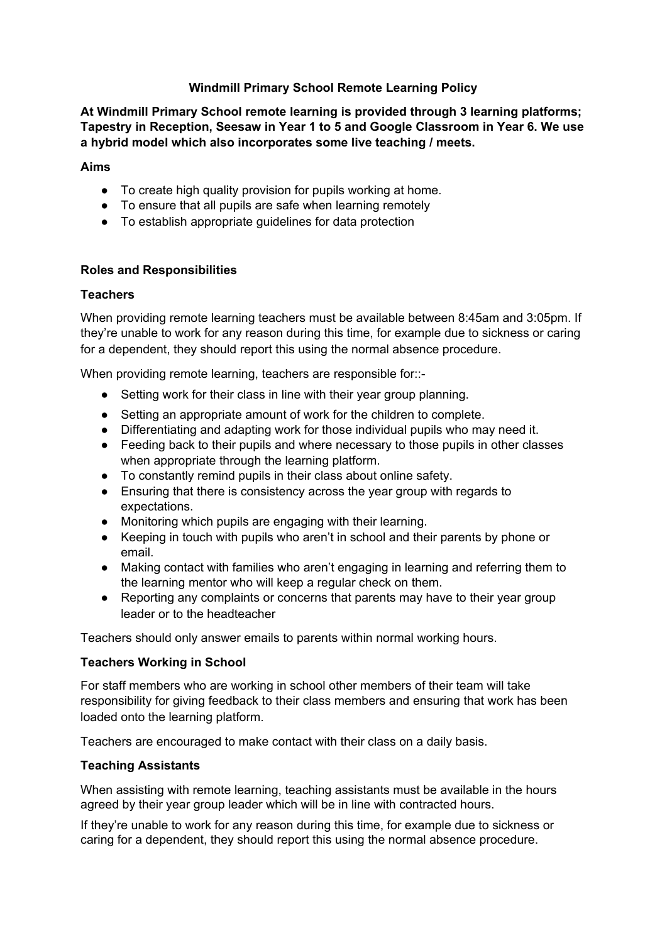## **Windmill Primary School Remote Learning Policy**

**At Windmill Primary School remote learning is provided through 3 learning platforms; Tapestry in Reception, Seesaw in Year 1 to 5 and Google Classroom in Year 6. We use a hybrid model which also incorporates some live teaching / meets.**

### **Aims**

- To create high quality provision for pupils working at home.
- To ensure that all pupils are safe when learning remotely
- To establish appropriate guidelines for data protection

## **Roles and Responsibilities**

### **Teachers**

When providing remote learning teachers must be available between 8:45am and 3:05pm. If they're unable to work for any reason during this time, for example due to sickness or caring for a dependent, they should report this using the normal absence procedure.

When providing remote learning, teachers are responsible for::-

- Setting work for their class in line with their year group planning.
- Setting an appropriate amount of work for the children to complete.
- Differentiating and adapting work for those individual pupils who may need it.
- Feeding back to their pupils and where necessary to those pupils in other classes when appropriate through the learning platform.
- To constantly remind pupils in their class about online safety.
- Ensuring that there is consistency across the year group with regards to expectations.
- Monitoring which pupils are engaging with their learning.
- Keeping in touch with pupils who aren't in school and their parents by phone or email.
- Making contact with families who aren't engaging in learning and referring them to the learning mentor who will keep a regular check on them.
- Reporting any complaints or concerns that parents may have to their year group leader or to the headteacher

Teachers should only answer emails to parents within normal working hours.

#### **Teachers Working in School**

For staff members who are working in school other members of their team will take responsibility for giving feedback to their class members and ensuring that work has been loaded onto the learning platform.

Teachers are encouraged to make contact with their class on a daily basis.

## **Teaching Assistants**

When assisting with remote learning, teaching assistants must be available in the hours agreed by their year group leader which will be in line with contracted hours.

If they're unable to work for any reason during this time, for example due to sickness or caring for a dependent, they should report this using the normal absence procedure.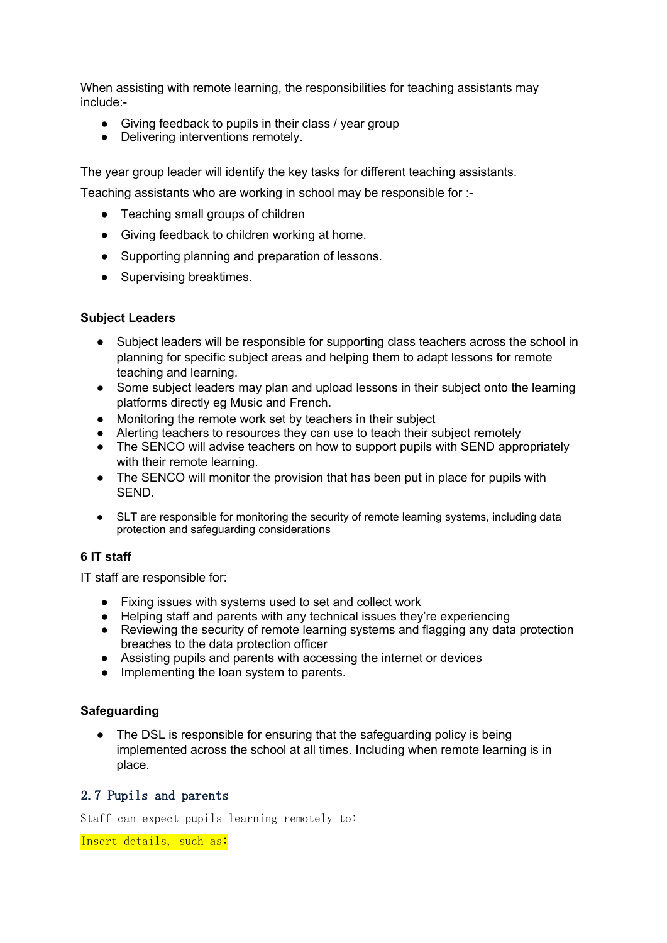When assisting with remote learning, the responsibilities for teaching assistants may include:-

- Giving feedback to pupils in their class / year group
- Delivering interventions remotely.

The year group leader will identify the key tasks for different teaching assistants.

Teaching assistants who are working in school may be responsible for :-

- Teaching small groups of children
- Giving feedback to children working at home.
- Supporting planning and preparation of lessons.
- Supervising breaktimes.

## **Subject Leaders**

- Subject leaders will be responsible for supporting class teachers across the school in planning for specific subject areas and helping them to adapt lessons for remote teaching and learning.
- Some subject leaders may plan and upload lessons in their subject onto the learning platforms directly eg Music and French.
- Monitoring the remote work set by teachers in their subject
- Alerting teachers to resources they can use to teach their subject remotely
- The SENCO will advise teachers on how to support pupils with SEND appropriately with their remote learning.
- The SENCO will monitor the provision that has been put in place for pupils with SEND.
- SLT are responsible for monitoring the security of remote learning systems, including data protection and safeguarding considerations

# **6 IT staff**

IT staff are responsible for:

- Fixing issues with systems used to set and collect work
- Helping staff and parents with any technical issues they're experiencing
- Reviewing the security of remote learning systems and flagging any data protection breaches to the data protection officer
- Assisting pupils and parents with accessing the internet or devices
- Implementing the loan system to parents.

## **Safeguarding**

The DSL is responsible for ensuring that the safeguarding policy is being implemented across the school at all times. Including when remote learning is in place.

## 2.7 Pupils and parents

Staff can expect pupils learning remotely to:

Insert details, such as: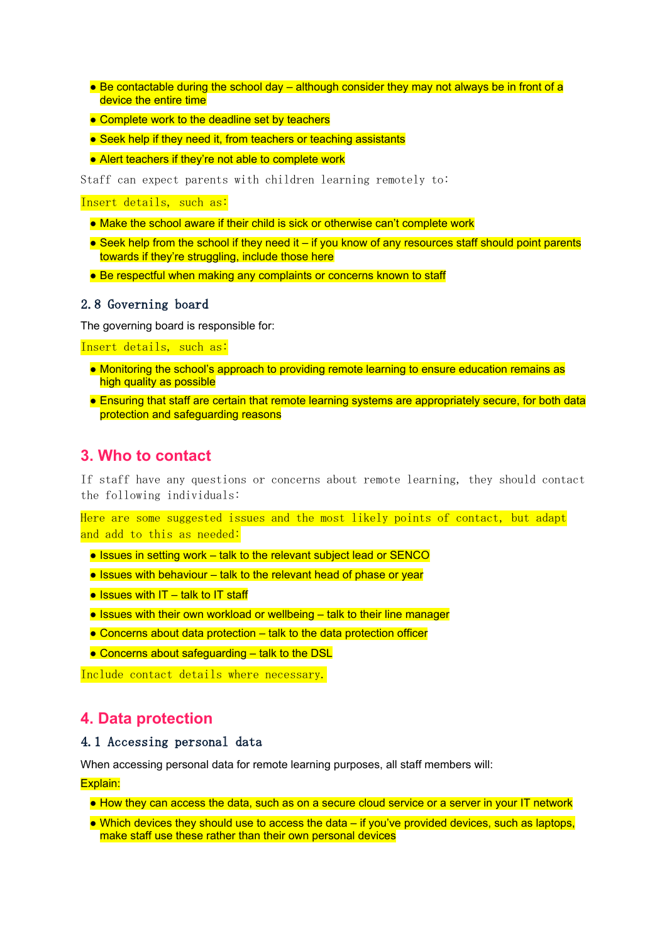- $\bullet$  Be contactable during the school day although consider they may not always be in front of a device the entire time
- Complete work to the deadline set by teachers
- Seek help if they need it, from teachers or teaching assistants
- Alert teachers if they're not able to complete work

Staff can expect parents with children learning remotely to:

Insert details, such as:

- Make the school aware if their child is sick or otherwise can't complete work
- Seek help from the school if they need it if you know of any resources staff should point parents towards if they're struggling, include those here
- Be respectful when making any complaints or concerns known to staff

#### 2.8 Governing board

The governing board is responsible for:

Insert details, such as:

- Monitoring the school's approach to providing remote learning to ensure education remains as high quality as possible
- Ensuring that staff are certain that remote learning systems are appropriately secure, for both data protection and safeguarding reasons

## **3. Who to contact**

If staff have any questions or concerns about remote learning, they should contact the following individuals:

Here are some suggested issues and the most likely points of contact, but adapt and add to this as needed:

- Issues in setting work talk to the relevant subject lead or SENCO
- Issues with behaviour talk to the relevant head of phase or year
- $\bullet$  Issues with IT talk to IT staff
- Issues with their own workload or wellbeing talk to their line manager
- $\bullet$  Concerns about data protection  $-$  talk to the data protection officer
- Concerns about safeguarding talk to the DSL

Include contact details where necessary.

# **4. Data protection**

## 4.1 Accessing personal data

When accessing personal data for remote learning purposes, all staff members will:

#### Explain:

- How they can access the data, such as on a secure cloud service or a server in your IT network
- Which devices they should use to access the data if you've provided devices, such as laptops, make staff use these rather than their own personal devices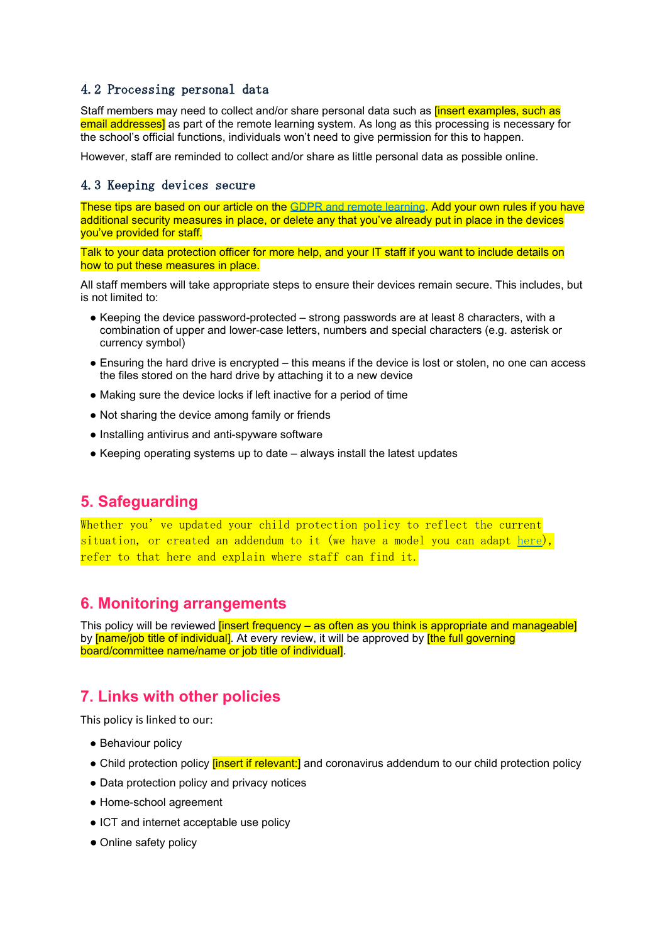## 4.2 Processing personal data

Staff members may need to collect and/or share personal data such as *[insert examples, such as* email addresses] as part of the remote learning system. As long as this processing is necessary for the school's official functions, individuals won't need to give permission for this to happen.

However, staff are reminded to collect and/or share as little personal data as possible online.

#### 4.3 Keeping devices secure

These tips are based on our article on the GDPR and remote [learning](https://schoolleaders.thekeysupport.com/uid/a4f9d627-575d-45f5-9367-040b246c213c/). Add your own rules if you have additional security measures in place, or delete any that you've already put in place in the devices you've provided for staff.

Talk to your data protection officer for more help, and your IT staff if you want to include details on how to put these measures in place.

All staff members will take appropriate steps to ensure their devices remain secure. This includes, but is not limited to:

- Keeping the device password-protected strong passwords are at least 8 characters, with a combination of upper and lower-case letters, numbers and special characters (e.g. asterisk or currency symbol)
- Ensuring the hard drive is encrypted this means if the device is lost or stolen, no one can access the files stored on the hard drive by attaching it to a new device
- Making sure the device locks if left inactive for a period of time
- Not sharing the device among family or friends
- Installing antivirus and anti-spyware software
- Keeping operating systems up to date always install the latest updates

# **5. Safeguarding**

Whether you've updated your child protection policy to reflect the current situation, or created an addendum to it (we have a model you can adapt [here\)](https://schoolleaders.thekeysupport.com/uid/bf77333d-6f96-4ff5-acb2-175d1c195167/), refer to that here and explain where staff can find it.

# **6. Monitoring arrangements**

This policy will be reviewed *[insert frequency – as often as you think is appropriate and manageable]* by **[name/job title of individual]**. At every review, it will be approved by **[the full governing** board/committee name/name or job title of individual].

# **7. Links with other policies**

This policy is linked to our:

- Behaviour policy
- Child protection policy *[insert if relevant:]* and coronavirus addendum to our child protection policy
- Data protection policy and privacy notices
- Home-school agreement
- ICT and internet acceptable use policy
- Online safety policy